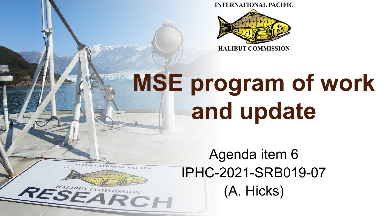**INTERNATIONAL PACIFIC** 



# **MSE program of work and update**

Agenda item 6 IPHC-2021-SRB019-07 (A. Hicks)ESEARCH

HALIBUT COMMISS

 $\boldsymbol{\mathcal{R}}$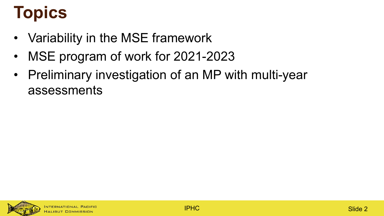# **Topics**

- Variability in the MSE framework
- MSE program of work for 2021-2023
- Preliminary investigation of an MP with multi-year assessments

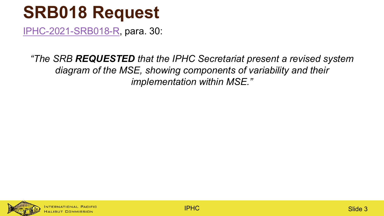#### **SRB018 Request**

[IPHC-2021-SRB018-R](https://iphc.int/uploads/pdf/srb/srb018/iphc-2021-srb018-r.pdf), para. 30:

*"The SRB REQUESTED that the IPHC Secretariat present a revised system diagram of the MSE, showing components of variability and their implementation within MSE."*



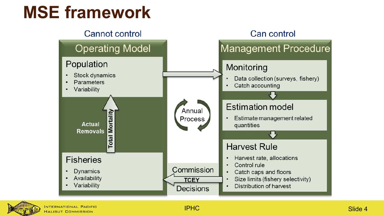#### **MSE framework**



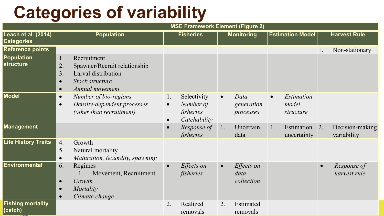### **Categories of variability**

|                                          | <b>MSE Framework Element (Figure 2)</b>                                                                                                                     |                                                                          |                                               |                                               |                                |  |  |  |
|------------------------------------------|-------------------------------------------------------------------------------------------------------------------------------------------------------------|--------------------------------------------------------------------------|-----------------------------------------------|-----------------------------------------------|--------------------------------|--|--|--|
| Leach et al. (2014)<br><b>Categories</b> | <b>Population</b>                                                                                                                                           | <b>Fisheries</b><br><b>Monitoring</b>                                    |                                               | <b>Estimation Model</b>                       | <b>Harvest Rule</b>            |  |  |  |
| <b>Reference points</b>                  |                                                                                                                                                             |                                                                          |                                               |                                               | Non-stationary                 |  |  |  |
| Population<br>structure                  | Recruitment<br>1.<br>2.<br>Spawner/Recruit relationship<br>3.<br>Larval distribution<br><b>Stock structure</b><br>$\bullet$<br>Annual movement<br>$\bullet$ |                                                                          |                                               |                                               |                                |  |  |  |
| Model                                    | Number of bio-regions<br>$\bullet$<br>Density-dependent processes<br>$\bullet$<br>(other than recruitment)                                                  | Selectivity<br>1.<br>Number of<br>$\bullet$<br>fisheries<br>Catchability | Data<br>$\bullet$<br>generation<br>processes  | Estimation<br>$\bullet$<br>model<br>structure |                                |  |  |  |
| <b>Management</b>                        |                                                                                                                                                             | Response of<br>$\bullet$<br>fisheries                                    | Uncertain<br> 1.<br>data                      | Estimation 2.<br>1.<br>uncertainty            | Decision-making<br>variability |  |  |  |
| <b>Life History Traits</b>               | Growth<br>4.<br>5.<br>Natural mortality<br>Maturation, fecundity, spawning<br>$\bullet$                                                                     |                                                                          |                                               |                                               |                                |  |  |  |
| Environmental                            | Regimes<br>6.<br>Movement, Recruitment<br>Growth<br>$\bullet$<br>Mortality<br>$\bullet$<br>Climate change<br>$\bullet$                                      | Effects on<br>$\bullet$<br>fisheries                                     | Effects on<br>$\bullet$<br>data<br>collection | $\bullet$                                     | Response of<br>harvest rule    |  |  |  |
| <b>Fishing mortality</b><br>(catch)      |                                                                                                                                                             | Realized<br>2.<br>removals                                               | Estimated<br>2.<br>removals                   |                                               |                                |  |  |  |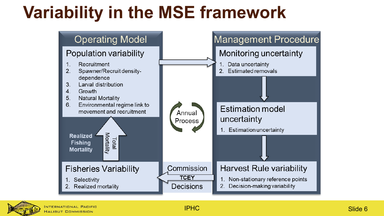### **Variability in the MSE framework**



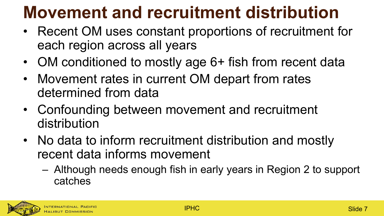# **Movement and recruitment distribution**

- Recent OM uses constant proportions of recruitment for each region across all years
- OM conditioned to mostly age 6+ fish from recent data
- Movement rates in current OM depart from rates determined from data
- Confounding between movement and recruitment distribution
- No data to inform recruitment distribution and mostly recent data informs movement
	- Although needs enough fish in early years in Region 2 to support catches

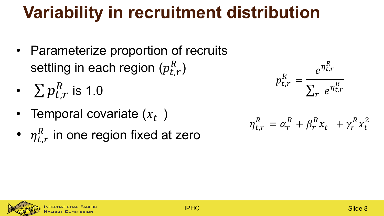# **Variability in recruitment distribution**

- Parameterize proportion of recruits settling in each region  $(p_{t,r}^R)$
- $\sum p_{t,r}^{R}$  is 1.0
- Temporal covariate  $(x_t)$
- $\eta^R_{t,r}$  in one region fixed at zero

$$
p_{t,r}^R = \frac{e^{\eta_{t,r}^R}}{\sum_r e^{\eta_{t,r}^R}}
$$

$$
\eta_{t,r}^R = \alpha_r^R + \beta_r^R x_t + \gamma_r^R x_t^2
$$

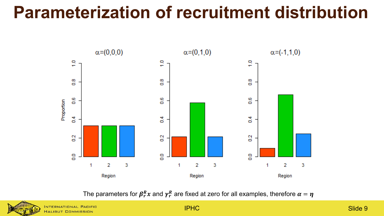#### **Parameterization of recruitment distribution**



The parameters for  $\pmb{\beta}_r^R\pmb{x}$  and  $\pmb{\gamma}_r^R$  are fixed at zero for all examples, therefore  $\pmb{\alpha}=\pmb{\eta}$ 



HALIBUT COMMISSION

IPHC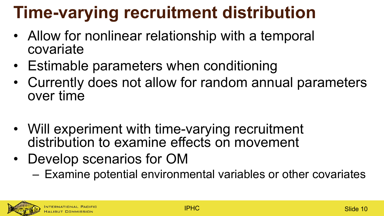# **Time-varying recruitment distribution**

- Allow for nonlinear relationship with a temporal covariate
- Estimable parameters when conditioning
- Currently does not allow for random annual parameters over time
- Will experiment with time-varying recruitment distribution to examine effects on movement
- Develop scenarios for OM
	- Examine potential environmental variables or other covariates

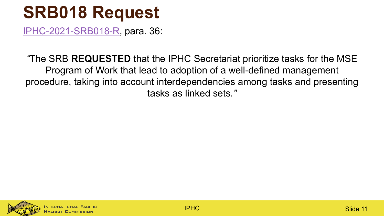#### **SRB018 Request**

[IPHC-2021-SRB018-R](https://iphc.int/uploads/pdf/srb/srb018/iphc-2021-srb018-r.pdf), para. 36:

*"*The SRB **REQUESTED** that the IPHC Secretariat prioritize tasks for the MSE Program of Work that lead to adoption of a well-defined management procedure, taking into account interdependencies among tasks and presenting tasks as linked sets*."*

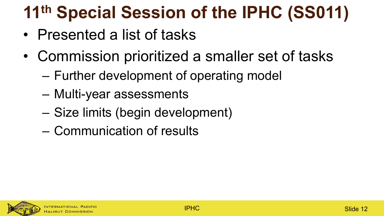# **11th Special Session of the IPHC (SS011)**

- Presented a list of tasks
- Commission prioritized a smaller set of tasks
	- Further development of operating model
	- Multi-year assessments
	- Size limits (begin development)
	- Communication of results

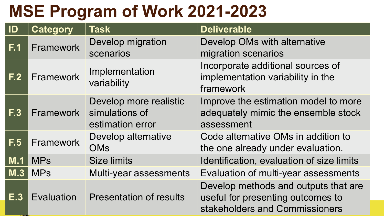#### **MSE Program of Work 2021-2023**

| ID               | <b>Category</b> | <b>Task</b>                                                  | <b>Deliverable</b>                                                                                          |
|------------------|-----------------|--------------------------------------------------------------|-------------------------------------------------------------------------------------------------------------|
| F.1              | Framework       | Develop migration<br>scenarios                               | Develop OMs with alternative<br>migration scenarios                                                         |
| F <sub>2</sub>   | Framework       | Implementation<br>variability                                | Incorporate additional sources of<br>implementation variability in the<br>framework                         |
| F <sub>0</sub> 3 | Framework       | Develop more realistic<br>simulations of<br>estimation error | Improve the estimation model to more<br>adequately mimic the ensemble stock<br>assessment                   |
| F.5              | Framework       | Develop alternative<br><b>OMs</b>                            | Code alternative OMs in addition to<br>the one already under evaluation.                                    |
| M.1              | <b>MPs</b>      | <b>Size limits</b>                                           | Identification, evaluation of size limits                                                                   |
| $M.\overline{3}$ | <b>MPs</b>      | Multi-year assessments                                       | Evaluation of multi-year assessments                                                                        |
| E.3              | Evaluation      | <b>Presentation of results</b>                               | Develop methods and outputs that are<br>useful for presenting outcomes to<br>stakeholders and Commissioners |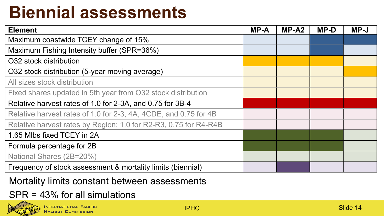# **Biennial assessments**

| <b>Element</b>                                                   | <b>MP-A</b> | $MP-A2$ | <b>MP-D</b> | $MP-J$ |
|------------------------------------------------------------------|-------------|---------|-------------|--------|
| Maximum coastwide TCEY change of 15%                             |             |         |             |        |
| Maximum Fishing Intensity buffer (SPR=36%)                       |             |         |             |        |
| O32 stock distribution                                           |             |         |             |        |
| O32 stock distribution (5-year moving average)                   |             |         |             |        |
| All sizes stock distribution                                     |             |         |             |        |
| Fixed shares updated in 5th year from O32 stock distribution     |             |         |             |        |
| Relative harvest rates of 1.0 for 2-3A, and 0.75 for 3B-4        |             |         |             |        |
| Relative harvest rates of 1.0 for 2-3, 4A, 4CDE, and 0.75 for 4B |             |         |             |        |
| Relative harvest rates by Region: 1.0 for R2-R3, 0.75 for R4-R4B |             |         |             |        |
| 1.65 Mlbs fixed TCEY in 2A                                       |             |         |             |        |
| Formula percentage for 2B                                        |             |         |             |        |
| National Shares (2B=20%)                                         |             |         |             |        |
| Frequency of stock assessment & mortality limits (biennial)      |             |         |             |        |

Mortality limits constant between assessments

#### SPR = 43% for all simulations

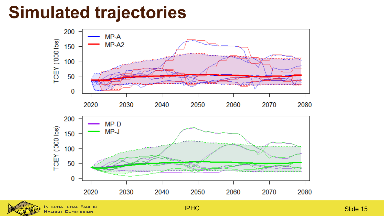#### **Simulated trajectories**





NTERNATIONAL PACIFIC HALIBUT COMMISSION

IPHC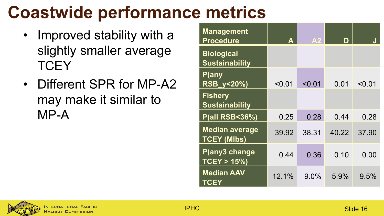# **Coastwide performance metrics**

- Improved stability with a slightly smaller average **TCEY**
- Different SPR for MP-A2 may make it similar to MP-A

| <b>Management</b><br><b>Procedure</b>       | A      | A <sub>2</sub> | D     |        |
|---------------------------------------------|--------|----------------|-------|--------|
| <b>Biological</b><br><b>Sustainability</b>  |        |                |       |        |
| P(any<br>RSB_y<20%)                         | < 0.01 | < 0.01         | 0.01  | < 0.01 |
| <b>Fishery</b><br><b>Sustainability</b>     |        |                |       |        |
| <b>P(all RSB&lt;36%)</b>                    | 0.25   | 0.28           | 0.44  | 0.28   |
| <b>Median average</b><br><b>TCEY (MIbs)</b> | 39.92  | 38.31          | 40.22 | 37.90  |
| P(any3 change<br>$TCEY > 15\%)$             | 0.44   | 0.36           | 0.10  | 0.00   |
| <b>Median AAV</b><br><b>TCEY</b>            | 12.1%  | 9.0%           | 5.9%  | 9.5%   |

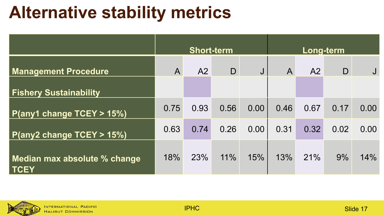#### **Alternative stability metrics**

|                                             | <b>Short-term</b> |      |              |      | <b>Long-term</b> |                |              |      |
|---------------------------------------------|-------------------|------|--------------|------|------------------|----------------|--------------|------|
| <b>Management Procedure</b>                 | $\mathsf{A}$      | A2   | $\mathsf{D}$ | J    | $\overline{A}$   | A <sub>2</sub> | $\mathsf{D}$ |      |
| <b>Fishery Sustainability</b>               |                   |      |              |      |                  |                |              |      |
| P(any1 change TCEY > 15%)                   | 0.75              | 0.93 | 0.56         | 0.00 | 0.46             | 0.67           | 0.17         | 0.00 |
| P(any2 change TCEY > 15%)                   | 0.63              | 0.74 | 0.26         | 0.00 | 0.31             | 0.32           | 0.02         | 0.00 |
| Median max absolute % change<br><b>TCEY</b> | 18%               | 23%  | 11%          | 15%  | 13%              | 21%            | 9%           | 14%  |

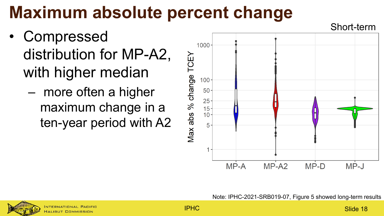# **Maximum absolute percent change**

- **Compressed** distribution for MP-A2, with higher median
	- more often a higher maximum change in a ten-year period with A2



Note: IPHC-2021-SRB019-07, Figure 5 showed long-term results

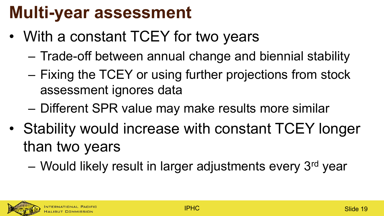#### **Multi-year assessment**

- With a constant TCEY for two years
	- Trade-off between annual change and biennial stability
	- Fixing the TCEY or using further projections from stock assessment ignores data
	- Different SPR value may make results more similar
- Stability would increase with constant TCEY longer than two years
	- Would likely result in larger adjustments every 3<sup>rd</sup> year

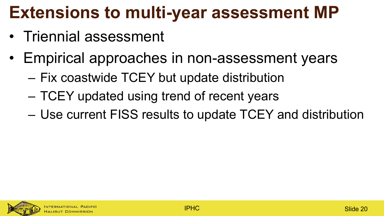# **Extensions to multi-year assessment MP**

- Triennial assessment
- Empirical approaches in non-assessment years
	- Fix coastwide TCEY but update distribution
	- TCEY updated using trend of recent years
	- Use current FISS results to update TCEY and distribution

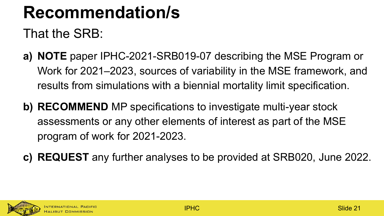### **Recommendation/s**

That the SRB:

- **a) NOTE** paper IPHC-2021-SRB019-07 describing the MSE Program or Work for 2021–2023, sources of variability in the MSE framework, and results from simulations with a biennial mortality limit specification.
- **b) RECOMMEND** MP specifications to investigate multi-year stock assessments or any other elements of interest as part of the MSE program of work for 2021-2023.
- **c) REQUEST** any further analyses to be provided at SRB020, June 2022.